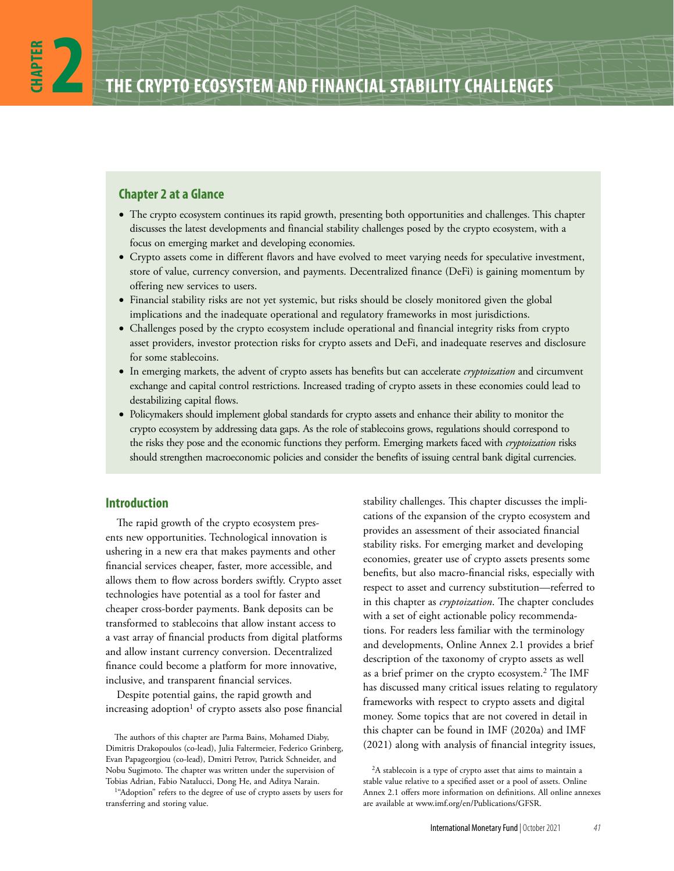# **Chapter 2 at a Glance**

- The crypto ecosystem continues its rapid growth, presenting both opportunities and challenges. This chapter discusses the latest developments and financial stability challenges posed by the crypto ecosystem, with a focus on emerging market and developing economies.
- Crypto assets come in different flavors and have evolved to meet varying needs for speculative investment, store of value, currency conversion, and payments. Decentralized finance (DeFi) is gaining momentum by offering new services to users.
- Financial stability risks are not yet systemic, but risks should be closely monitored given the global implications and the inadequate operational and regulatory frameworks in most jurisdictions.
- Challenges posed by the crypto ecosystem include operational and financial integrity risks from crypto asset providers, investor protection risks for crypto assets and DeFi, and inadequate reserves and disclosure for some stablecoins.
- In emerging markets, the advent of crypto assets has benefits but can accelerate *cryptoization* and circumvent exchange and capital control restrictions. Increased trading of crypto assets in these economies could lead to destabilizing capital flows.
- Policymakers should implement global standards for crypto assets and enhance their ability to monitor the crypto ecosystem by addressing data gaps. As the role of stablecoins grows, regulations should correspond to the risks they pose and the economic functions they perform. Emerging markets faced with *cryptoization* risks should strengthen macroeconomic policies and consider the benefits of issuing central bank digital currencies.

# **Introduction**

The rapid growth of the crypto ecosystem presents new opportunities. Technological innovation is ushering in a new era that makes payments and other financial services cheaper, faster, more accessible, and allows them to flow across borders swiftly. Crypto asset technologies have potential as a tool for faster and cheaper cross-border payments. Bank deposits can be transformed to stablecoins that allow instant access to a vast array of financial products from digital platforms and allow instant currency conversion. Decentralized finance could become a platform for more innovative, inclusive, and transparent financial services.

Despite potential gains, the rapid growth and increasing adoption<sup>1</sup> of crypto assets also pose financial

stability challenges. This chapter discusses the implications of the expansion of the crypto ecosystem and provides an assessment of their associated financial stability risks. For emerging market and developing economies, greater use of crypto assets presents some benefits, but also macro-financial risks, especially with respect to asset and currency substitution—referred to in this chapter as *cryptoization*. The chapter concludes with a set of eight actionable policy recommendations. For readers less familiar with the terminology and developments, Online Annex 2.1 provides a brief description of the taxonomy of crypto assets as well as a brief primer on the crypto ecosystem.<sup>2</sup> The IMF has discussed many critical issues relating to regulatory frameworks with respect to crypto assets and digital money. Some topics that are not covered in detail in this chapter can be found in IMF (2020a) and IMF (2021) along with analysis of financial integrity issues,

The authors of this chapter are Parma Bains, Mohamed Diaby, Dimitris Drakopoulos (co-lead), Julia Faltermeier, Federico Grinberg, Evan Papageorgiou (co-lead), Dmitri Petrov, Patrick Schneider, and Nobu Sugimoto. The chapter was written under the supervision of Tobias Adrian, Fabio Natalucci, Dong He, and Aditya Narain.

<sup>&</sup>lt;sup>1</sup>"Adoption" refers to the degree of use of crypto assets by users for transferring and storing value.

<sup>&</sup>lt;sup>2</sup>A stablecoin is a type of crypto asset that aims to maintain a stable value relative to a specified asset or a pool of assets. Online Annex 2.1 offers more information on definitions. All online annexes are available at [www.imf.org/en/Publications/GFSR](http://www​.imf​.org/​en/​Publications/​GFSR).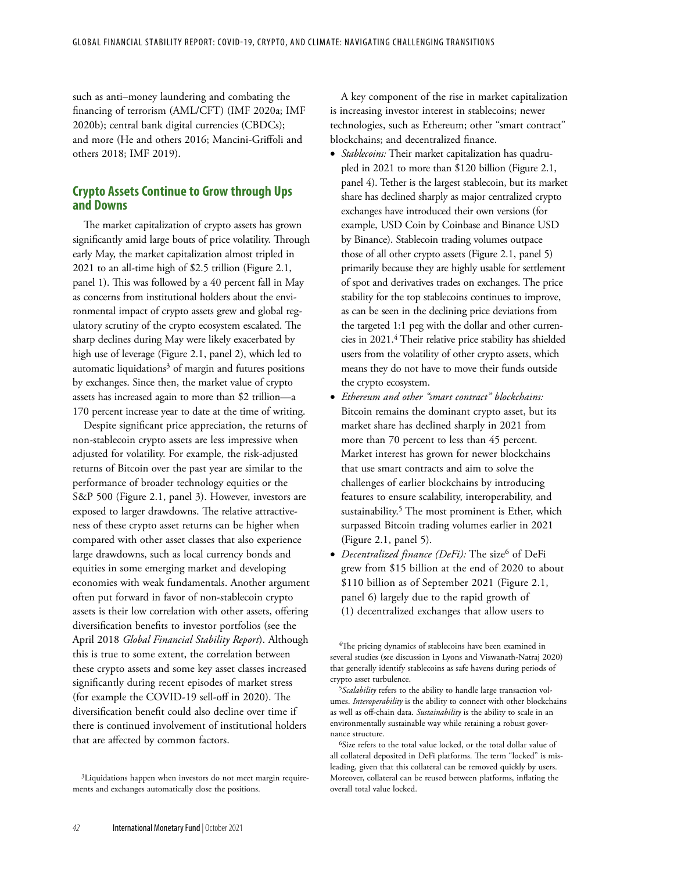such as anti–money laundering and combating the financing of terrorism (AML/CFT) (IMF 2020a; IMF 2020b); central bank digital currencies (CBDCs); and more (He and others 2016; Mancini-Griffoli and others 2018; IMF 2019).

# **Crypto Assets Continue to Grow through Ups and Downs**

The market capitalization of crypto assets has grown significantly amid large bouts of price volatility. Through early May, the market capitalization almost tripled in 2021 to an all-time high of \$2.5 trillion (Figure 2.1, panel 1). This was followed by a 40 percent fall in May as concerns from institutional holders about the environmental impact of crypto assets grew and global regulatory scrutiny of the crypto ecosystem escalated. The sharp declines during May were likely exacerbated by high use of leverage (Figure 2.1, panel 2), which led to automatic liquidations $3$  of margin and futures positions by exchanges. Since then, the market value of crypto assets has increased again to more than \$2 trillion—a 170 percent increase year to date at the time of writing.

Despite significant price appreciation, the returns of non-stablecoin crypto assets are less impressive when adjusted for volatility. For example, the risk-adjusted returns of Bitcoin over the past year are similar to the performance of broader technology equities or the S&P 500 (Figure 2.1, panel 3). However, investors are exposed to larger drawdowns. The relative attractiveness of these crypto asset returns can be higher when compared with other asset classes that also experience large drawdowns, such as local currency bonds and equities in some emerging market and developing economies with weak fundamentals. Another argument often put forward in favor of non-stablecoin crypto assets is their low correlation with other assets, offering diversification benefits to investor portfolios (see the April 2018 *Global Financial Stability Report*). Although this is true to some extent, the correlation between these crypto assets and some key asset classes increased significantly during recent episodes of market stress (for example the COVID-19 sell-off in 2020). The diversification benefit could also decline over time if there is continued involvement of institutional holders that are affected by common factors.

A key component of the rise in market capitalization is increasing investor interest in stablecoins; newer technologies, such as Ethereum; other "smart contract" blockchains; and decentralized finance.

- *Stablecoins:* Their market capitalization has quadrupled in 2021 to more than \$120 billion (Figure 2.1, panel 4). Tether is the largest stablecoin, but its market share has declined sharply as major centralized crypto exchanges have introduced their own versions (for example, USD Coin by Coinbase and Binance USD by Binance). Stablecoin trading volumes outpace those of all other crypto assets (Figure 2.1, panel 5) primarily because they are highly usable for settlement of spot and derivatives trades on exchanges. The price stability for the top stablecoins continues to improve, as can be seen in the declining price deviations from the targeted 1:1 peg with the dollar and other currencies in 2021.<sup>4</sup> Their relative price stability has shielded users from the volatility of other crypto assets, which means they do not have to move their funds outside the crypto ecosystem.
- *Ethereum and other "smart contract" blockchains:* Bitcoin remains the dominant crypto asset, but its market share has declined sharply in 2021 from more than 70 percent to less than 45 percent. Market interest has grown for newer blockchains that use smart contracts and aim to solve the challenges of earlier blockchains by introducing features to ensure scalability, interoperability, and sustainability.<sup>5</sup> The most prominent is Ether, which surpassed Bitcoin trading volumes earlier in 2021 (Figure 2.1, panel 5).
- *Decentralized finance (DeFi):* The size<sup>6</sup> of DeFi grew from \$15 billion at the end of 2020 to about \$110 billion as of September 2021 (Figure 2.1, panel 6) largely due to the rapid growth of (1) decentralized exchanges that allow users to

<sup>6</sup>Size refers to the total value locked, or the total dollar value of all collateral deposited in DeFi platforms. The term "locked" is misleading, given that this collateral can be removed quickly by users. Moreover, collateral can be reused between platforms, inflating the overall total value locked.

<sup>&</sup>lt;sup>3</sup>Liquidations happen when investors do not meet margin requirements and exchanges automatically close the positions.

<sup>&</sup>lt;sup>4</sup>The pricing dynamics of stablecoins have been examined in several studies (see discussion in Lyons and Viswanath-Natraj 2020) that generally identify stablecoins as safe havens during periods of crypto asset turbulence.

<sup>&</sup>lt;sup>5</sup>Scalability refers to the ability to handle large transaction volumes. *Interoperability* is the ability to connect with other blockchains as well as off-chain data. *Sustainability* is the ability to scale in an environmentally sustainable way while retaining a robust governance structure.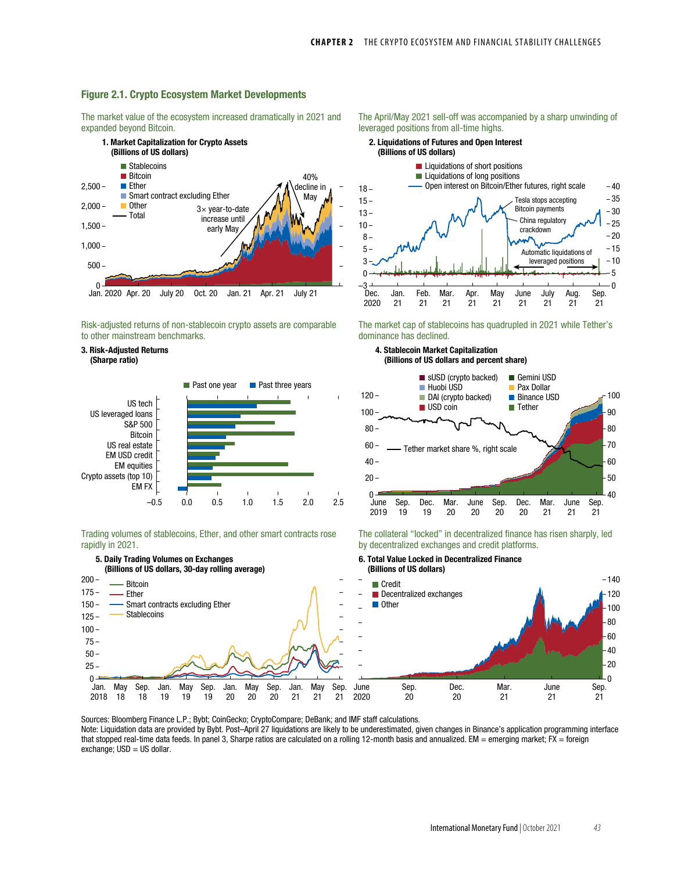### Figure 2.1. Crypto Ecosystem Market Developments

The market value of the ecosystem increased dramatically in 2021 and expanded beyond Bitcoin.



Risk-adjusted returns of non-stablecoin crypto assets are comparable to other mainstream benchmarks.

#### 3. Risk-Adjusted Returns (Sharpe ratio)



Trading volumes of stablecoins, Ether, and other smart contracts rose rapidly in 2021.



Sources: Bloomberg Finance L.P.; Bybt; CoinGecko; CryptoCompare; DeBank; and IMF staff calculations. Note: Liquidation data are provided by Bybt. Post–April 27 liquidations are likely to be underestimated, given changes in Binance's application programming interface that stopped real-time data feeds. In panel 3, Sharpe ratios are calculated on a rolling 12-month basis and annualized. EM = emerging market; FX = foreign  $\text{exchange}$ ; USD = US dollar.





The market cap of stablecoins has quadrupled in 2021 while Tether's dominance has declined.





The collateral "locked" in decentralized finance has risen sharply, led by decentralized exchanges and credit platforms.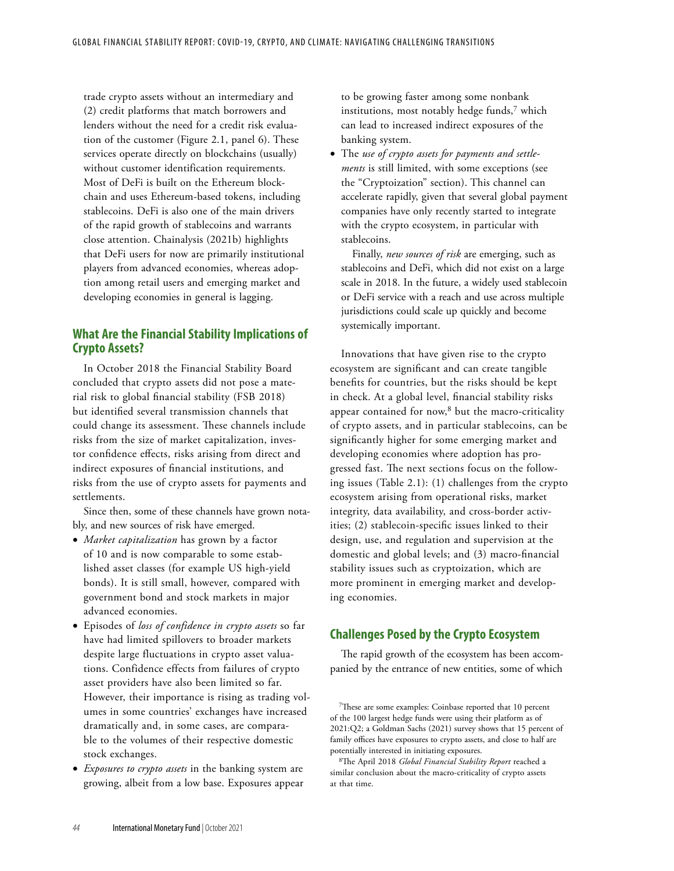trade crypto assets without an intermediary and (2) credit platforms that match borrowers and lenders without the need for a credit risk evaluation of the customer (Figure 2.1, panel 6). These services operate directly on blockchains (usually) without customer identification requirements. Most of DeFi is built on the Ethereum blockchain and uses Ethereum-based tokens, including stablecoins. DeFi is also one of the main drivers of the rapid growth of stablecoins and warrants close attention. Chainalysis (2021b) highlights that DeFi users for now are primarily institutional players from advanced economies, whereas adoption among retail users and emerging market and developing economies in general is lagging.

# **What Are the Financial Stability Implications of Crypto Assets?**

In October 2018 the Financial Stability Board concluded that crypto assets did not pose a material risk to global financial stability (FSB 2018) but identified several transmission channels that could change its assessment. These channels include risks from the size of market capitalization, investor confidence effects, risks arising from direct and indirect exposures of financial institutions, and risks from the use of crypto assets for payments and settlements.

Since then, some of these channels have grown notably, and new sources of risk have emerged.

- *Market capitalization* has grown by a factor of 10 and is now comparable to some established asset classes (for example US high-yield bonds). It is still small, however, compared with government bond and stock markets in major advanced economies.
- Episodes of *loss of confidence in crypto assets* so far have had limited spillovers to broader markets despite large fluctuations in crypto asset valuations. Confidence effects from failures of crypto asset providers have also been limited so far. However, their importance is rising as trading volumes in some countries' exchanges have increased dramatically and, in some cases, are comparable to the volumes of their respective domestic stock exchanges.
- *Exposures to crypto assets* in the banking system are growing, albeit from a low base. Exposures appear

to be growing faster among some nonbank institutions, most notably hedge funds,<sup>7</sup> which can lead to increased indirect exposures of the banking system.

• The *use of crypto assets for payments and settlements* is still limited, with some exceptions (see the "Cryptoization" section). This channel can accelerate rapidly, given that several global payment companies have only recently started to integrate with the crypto ecosystem, in particular with stablecoins.

Finally, *new sources of risk* are emerging, such as stablecoins and DeFi, which did not exist on a large scale in 2018. In the future, a widely used stablecoin or DeFi service with a reach and use across multiple jurisdictions could scale up quickly and become systemically important.

Innovations that have given rise to the crypto ecosystem are significant and can create tangible benefits for countries, but the risks should be kept in check. At a global level, financial stability risks appear contained for now, $8$  but the macro-criticality of crypto assets, and in particular stablecoins, can be significantly higher for some emerging market and developing economies where adoption has progressed fast. The next sections focus on the following issues (Table 2.1): (1) challenges from the crypto ecosystem arising from operational risks, market integrity, data availability, and cross-border activities; (2) stablecoin-specific issues linked to their design, use, and regulation and supervision at the domestic and global levels; and (3) macro-financial stability issues such as cryptoization, which are more prominent in emerging market and developing economies.

# **Challenges Posed by the Crypto Ecosystem**

The rapid growth of the ecosystem has been accompanied by the entrance of new entities, some of which

<sup>&</sup>lt;sup>7</sup>These are some examples: Coinbase reported that 10 percent of the 100 largest hedge funds were using their platform as of 2021:Q2; a Goldman Sachs (2021) survey shows that 15 percent of family offices have exposures to crypto assets, and close to half are potentially interested in initiating exposures.

<sup>&</sup>lt;sup>8</sup>The April 2018 *Global Financial Stability Report* reached a similar conclusion about the macro-criticality of crypto assets at that time.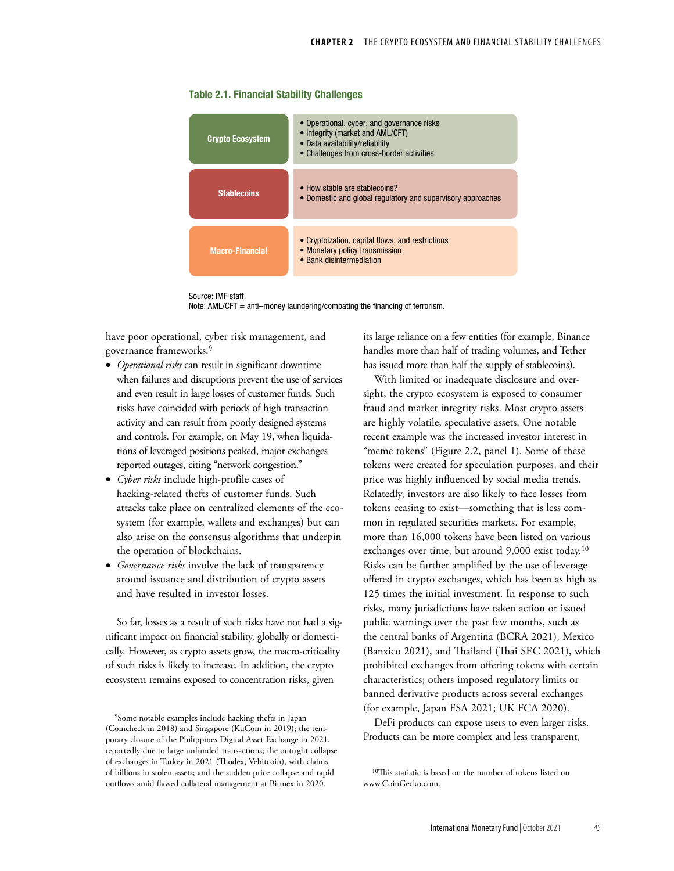### Table 2.1. Financial Stability Challenges



Source: IMF staff. Note: AML/CFT = anti-money laundering/combating the financing of terrorism.

have poor operational, cyber risk management, and governance frameworks.<sup>9</sup>

- *Operational risks* can result in significant downtime when failures and disruptions prevent the use of services and even result in large losses of customer funds. Such risks have coincided with periods of high transaction activity and can result from poorly designed systems and controls. For example, on May 19, when liquidations of leveraged positions peaked, major exchanges reported outages, citing "network congestion."
- *Cyber risks* include high-profile cases of hacking-related thefts of customer funds. Such attacks take place on centralized elements of the ecosystem (for example, wallets and exchanges) but can also arise on the consensus algorithms that underpin the operation of blockchains.
- *Governance risks* involve the lack of transparency around issuance and distribution of crypto assets and have resulted in investor losses.

So far, losses as a result of such risks have not had a significant impact on financial stability, globally or domestically. However, as crypto assets grow, the macro-criticality of such risks is likely to increase. In addition, the crypto ecosystem remains exposed to concentration risks, given

its large reliance on a few entities (for example, Binance handles more than half of trading volumes, and Tether has issued more than half the supply of stablecoins).

With limited or inadequate disclosure and oversight, the crypto ecosystem is exposed to consumer fraud and market integrity risks. Most crypto assets are highly volatile, speculative assets. One notable recent example was the increased investor interest in "meme tokens" (Figure 2.2, panel 1). Some of these tokens were created for speculation purposes, and their price was highly influenced by social media trends. Relatedly, investors are also likely to face losses from tokens ceasing to exist—something that is less common in regulated securities markets. For example, more than 16,000 tokens have been listed on various exchanges over time, but around  $9,000$  exist today.<sup>10</sup> Risks can be further amplified by the use of leverage offered in crypto exchanges, which has been as high as 125 times the initial investment. In response to such risks, many jurisdictions have taken action or issued public warnings over the past few months, such as the central banks of Argentina (BCRA 2021), Mexico (Banxico 2021), and Thailand (Thai SEC 2021), which prohibited exchanges from offering tokens with certain characteristics; others imposed regulatory limits or banned derivative products across several exchanges (for example, Japan FSA 2021; UK FCA 2020).

DeFi products can expose users to even larger risks. Products can be more complex and less transparent,

<sup>&</sup>lt;sup>9</sup>Some notable examples include hacking thefts in Japan (Coincheck in 2018) and Singapore (KuCoin in 2019); the temporary closure of the Philippines Digital Asset Exchange in 2021, reportedly due to large unfunded transactions; the outright collapse of exchanges in Turkey in 2021 (Thodex, Vebitcoin), with claims of billions in stolen assets; and the sudden price collapse and rapid outflows amid flawed collateral management at Bitmex in 2020.

<sup>10</sup>This statistic is based on the number of tokens listed on [www.CoinGecko.com](http://www​.CoinGecko​.com).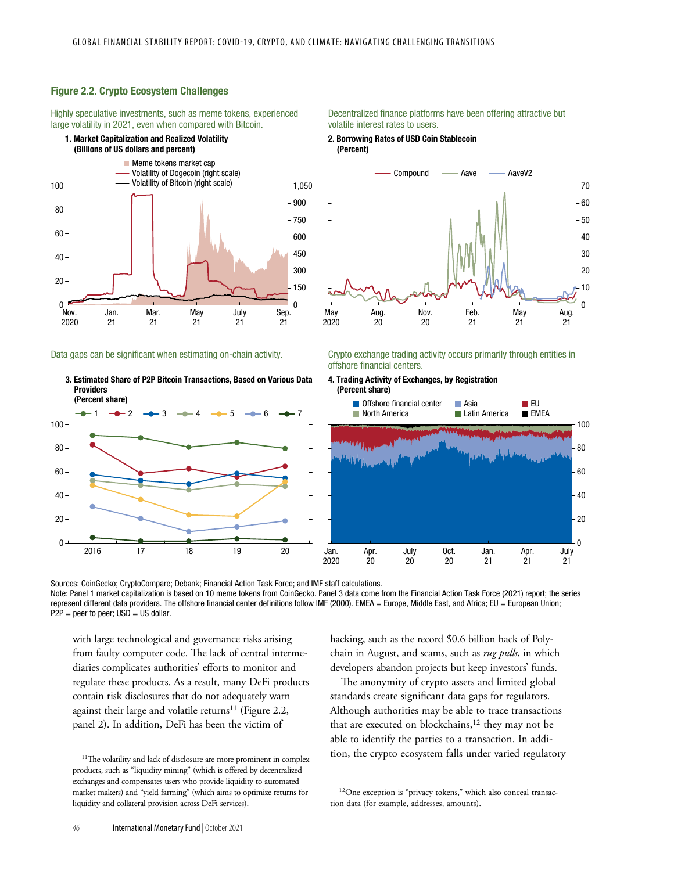## Figure 2.2. Crypto Ecosystem Challenges

Highly speculative investments, such as meme tokens, experienced large volatility in 2021, even when compared with Bitcoin.



Data gaps can be significant when estimating on-chain activity.

3. Estimated Share of P2P Bitcoin Transactions, Based on Various Data **Providers** (Percent share)



### Decentralized finance platforms have been offering attractive but volatile interest rates to users.

2. Borrowing Rates of USD Coin Stablecoin (Percent)



Crypto exchange trading activity occurs primarily through entities in offshore financial centers.



Sources: CoinGecko; CryptoCompare; Debank; Financial Action Task Force; and IMF staff calculations.

Note: Panel 1 market capitalization is based on 10 meme tokens from CoinGecko. Panel 3 data come from the Financial Action Task Force (2021) report; the series represent different data providers. The offshore financial center definitions follow IMF (2000). EMEA = Europe, Middle East, and Africa; EU = European Union;  $P2P =$  peer to peer;  $USD = US$  dollar.

with large technological and governance risks arising from faulty computer code. The lack of central intermediaries complicates authorities' efforts to monitor and regulate these products. As a result, many DeFi products contain risk disclosures that do not adequately warn against their large and volatile returns<sup>11</sup> (Figure 2.2, panel 2). In addition, DeFi has been the victim of

hacking, such as the record \$0.6 billion hack of Polychain in August, and scams, such as *rug pulls*, in which developers abandon projects but keep investors' funds.

The anonymity of crypto assets and limited global standards create significant data gaps for regulators. Although authorities may be able to trace transactions that are executed on blockchains, $12$  they may not be able to identify the parties to a transaction. In addition, the crypto ecosystem falls under varied regulatory

<sup>12</sup>One exception is "privacy tokens," which also conceal transaction data (for example, addresses, amounts).

<sup>&</sup>lt;sup>11</sup>The volatility and lack of disclosure are more prominent in complex products, such as "liquidity mining" (which is offered by decentralized exchanges and compensates users who provide liquidity to automated market makers) and "yield farming" (which aims to optimize returns for liquidity and collateral provision across DeFi services).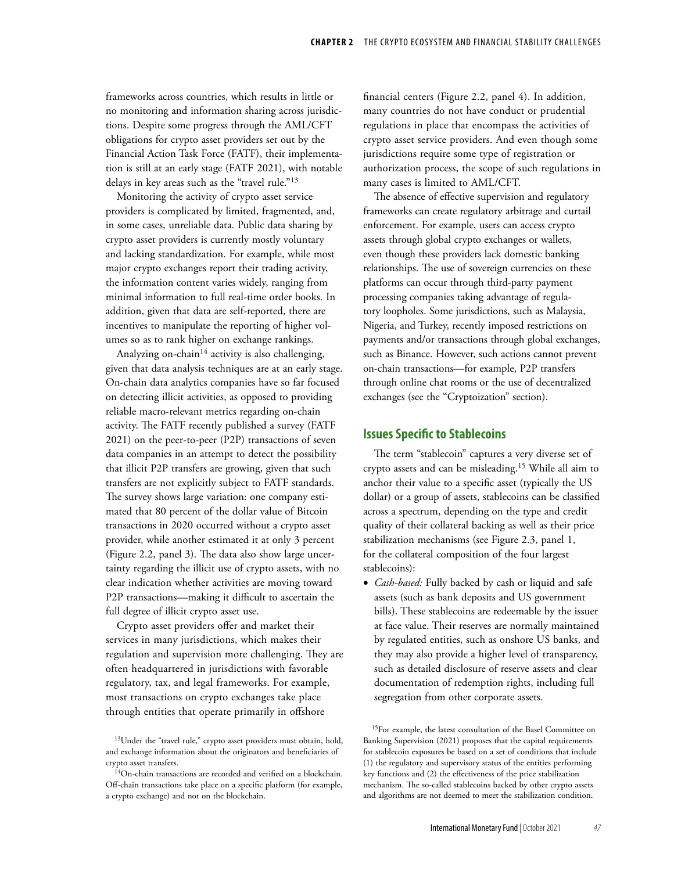frameworks across countries, which results in little or no monitoring and information sharing across jurisdictions. Despite some progress through the AML/CFT obligations for crypto asset providers set out by the Financial Action Task Force (FATF), their implementation is still at an early stage (FATF 2021), with notable delays in key areas such as the "travel rule."<sup>13</sup>

Monitoring the activity of crypto asset service providers is complicated by limited, fragmented, and, in some cases, unreliable data. Public data sharing by crypto asset providers is currently mostly voluntary and lacking standardization. For example, while most major crypto exchanges report their trading activity, the information content varies widely, ranging from minimal information to full real-time order books. In addition, given that data are self-reported, there are incentives to manipulate the reporting of higher volumes so as to rank higher on exchange rankings.

Analyzing on-chain<sup>14</sup> activity is also challenging, given that data analysis techniques are at an early stage. On-chain data analytics companies have so far focused on detecting illicit activities, as opposed to providing reliable macro-relevant metrics regarding on-chain activity. The FATF recently published a survey (FATF 2021) on the peer-to-peer (P2P) transactions of seven data companies in an attempt to detect the possibility that illicit P2P transfers are growing, given that such transfers are not explicitly subject to FATF standards. The survey shows large variation: one company estimated that 80 percent of the dollar value of Bitcoin transactions in 2020 occurred without a crypto asset provider, while another estimated it at only 3 percent (Figure 2.2, panel 3). The data also show large uncertainty regarding the illicit use of crypto assets, with no clear indication whether activities are moving toward P2P transactions—making it difficult to ascertain the full degree of illicit crypto asset use.

Crypto asset providers offer and market their services in many jurisdictions, which makes their regulation and supervision more challenging. They are often headquartered in jurisdictions with favorable regulatory, tax, and legal frameworks. For example, most transactions on crypto exchanges take place through entities that operate primarily in offshore

financial centers (Figure 2.2, panel 4). In addition, many countries do not have conduct or prudential regulations in place that encompass the activities of crypto asset service providers. And even though some jurisdictions require some type of registration or authorization process, the scope of such regulations in many cases is limited to AML/CFT.

The absence of effective supervision and regulatory frameworks can create regulatory arbitrage and curtail enforcement. For example, users can access crypto assets through global crypto exchanges or wallets, even though these providers lack domestic banking relationships. The use of sovereign currencies on these platforms can occur through third-party payment processing companies taking advantage of regulatory loopholes. Some jurisdictions, such as Malaysia, Nigeria, and Turkey, recently imposed restrictions on payments and/or transactions through global exchanges, such as Binance. However, such actions cannot prevent on-chain transactions—for example, P2P transfers through online chat rooms or the use of decentralized exchanges (see the "Cryptoization" section).

## **Issues Specific to Stablecoins**

The term "stablecoin" captures a very diverse set of crypto assets and can be misleading.<sup>15</sup> While all aim to anchor their value to a specific asset (typically the US dollar) or a group of assets, stablecoins can be classified across a spectrum, depending on the type and credit quality of their collateral backing as well as their price stabilization mechanisms (see Figure 2.3, panel 1, for the collateral composition of the four largest stablecoins):

• *Cash-based:* Fully backed by cash or liquid and safe assets (such as bank deposits and US government bills). These stablecoins are redeemable by the issuer at face value. Their reserves are normally maintained by regulated entities, such as onshore US banks, and they may also provide a higher level of transparency, such as detailed disclosure of reserve assets and clear documentation of redemption rights, including full segregation from other corporate assets.

<sup>&</sup>lt;sup>13</sup>Under the "travel rule," crypto asset providers must obtain, hold, and exchange information about the originators and beneficiaries of crypto asset transfers.

 $14$ On-chain transactions are recorded and verified on a blockchain. Off-chain transactions take place on a specific platform (for example, a crypto exchange) and not on the blockchain.

<sup>15</sup>For example, the latest consultation of the Basel Committee on Banking Supervision (2021) proposes that the capital requirements for stablecoin exposures be based on a set of conditions that include (1) the regulatory and supervisory status of the entities performing key functions and (2) the effectiveness of the price stabilization mechanism. The so-called stablecoins backed by other crypto assets and algorithms are not deemed to meet the stabilization condition.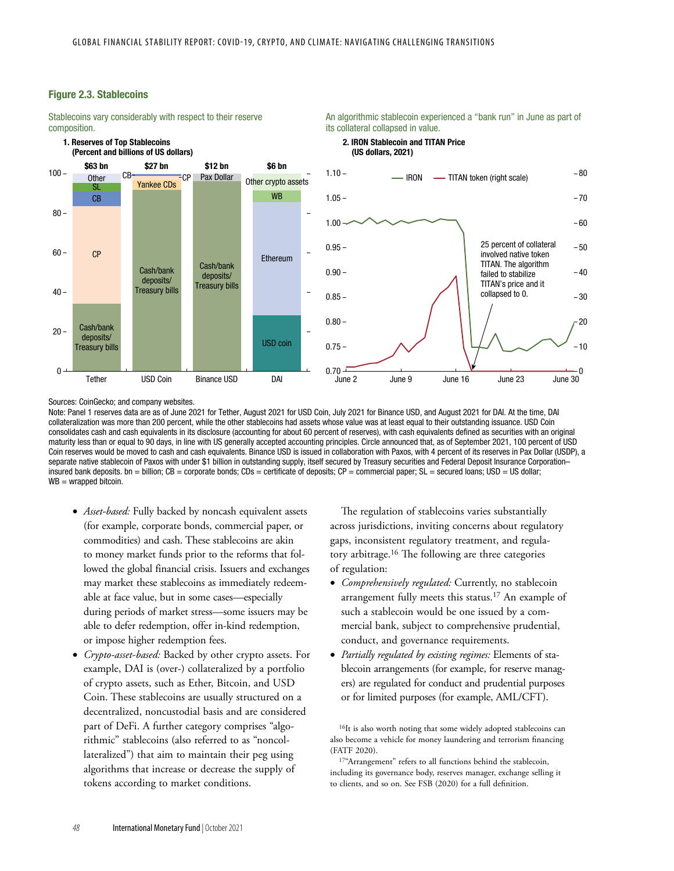## Figure 2.3. Stablecoins

1. Reserves of Top Stablecoins

Stablecoins vary considerably with respect to their reserve composition.

### An algorithmic stablecoin experienced a "bank run" in June as part of its collateral collapsed in value.

2. IRON Stablecoin and TITAN Price (US dollars, 2021)



Sources: CoinGecko; and company websites.

Note: Panel 1 reserves data are as of June 2021 for Tether, August 2021 for USD Coin, July 2021 for Binance USD, and August 2021 for DAI. At the time, DAI collateralization was more than 200 percent, while the other stablecoins had assets whose value was at least equal to their outstanding issuance. USD Coin consolidates cash and cash equivalents in its disclosure (accounting for about 60 percent of reserves), with cash equivalents defined as securities with an original maturity less than or equal to 90 days, in line with US generally accepted accounting principles. Circle announced that, as of September 2021, 100 percent of USD Coin reserves would be moved to cash and cash equivalents. Binance USD is issued in collaboration with Paxos, with 4 percent of its reserves in Pax Dollar (USDP), a separate native stablecoin of Paxos with under \$1 billion in outstanding supply, itself secured by Treasury securities and Federal Deposit Insurance Corporation– insured bank deposits. bn = billion; CB = corporate bonds; CDs = certificate of deposits; CP = commercial paper; SL = secured loans; USD = US dollar;  $WB = wrapped bitcoin$ .

- *Asset-based:* Fully backed by noncash equivalent assets (for example, corporate bonds, commercial paper, or commodities) and cash. These stablecoins are akin to money market funds prior to the reforms that followed the global financial crisis. Issuers and exchanges may market these stablecoins as immediately redeemable at face value, but in some cases—especially during periods of market stress—some issuers may be able to defer redemption, offer in-kind redemption, or impose higher redemption fees.
- *Crypto-asset-based:* Backed by other crypto assets. For example, DAI is (over-) collateralized by a portfolio of crypto assets, such as Ether, Bitcoin, and USD Coin. These stablecoins are usually structured on a decentralized, noncustodial basis and are considered part of DeFi. A further category comprises "algorithmic" stablecoins (also referred to as "noncollateralized") that aim to maintain their peg using algorithms that increase or decrease the supply of tokens according to market conditions.

The regulation of stablecoins varies substantially across jurisdictions, inviting concerns about regulatory gaps, inconsistent regulatory treatment, and regulatory arbitrage.<sup>16</sup> The following are three categories of regulation:

- *Comprehensively regulated:* Currently, no stablecoin arrangement fully meets this status.<sup>17</sup> An example of such a stablecoin would be one issued by a commercial bank, subject to comprehensive prudential, conduct, and governance requirements.
- *Partially regulated by existing regimes:* Elements of stablecoin arrangements (for example, for reserve managers) are regulated for conduct and prudential purposes or for limited purposes (for example, AML/CFT).

<sup>16</sup>It is also worth noting that some widely adopted stablecoins can also become a vehicle for money laundering and terrorism financing (FATF 2020).

<sup>17"</sup>Arrangement" refers to all functions behind the stablecoin, including its governance body, reserves manager, exchange selling it to clients, and so on. See FSB (2020) for a full definition.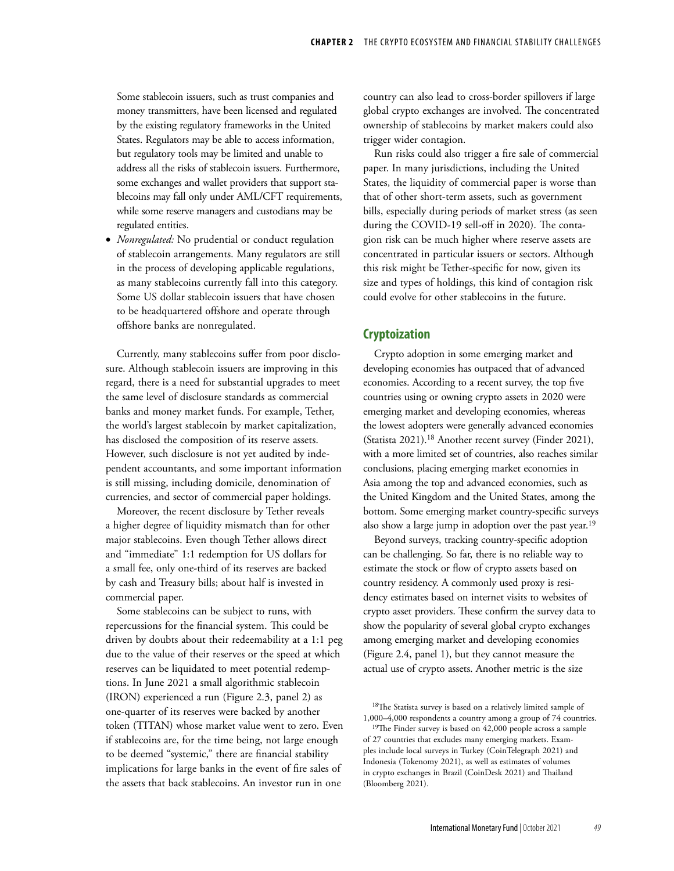Some stablecoin issuers, such as trust companies and money transmitters, have been licensed and regulated by the existing regulatory frameworks in the United States. Regulators may be able to access information, but regulatory tools may be limited and unable to address all the risks of stablecoin issuers. Furthermore, some exchanges and wallet providers that support stablecoins may fall only under AML/CFT requirements, while some reserve managers and custodians may be regulated entities.

• *Nonregulated:* No prudential or conduct regulation of stablecoin arrangements. Many regulators are still in the process of developing applicable regulations, as many stablecoins currently fall into this category. Some US dollar stablecoin issuers that have chosen to be headquartered offshore and operate through offshore banks are nonregulated.

Currently, many stablecoins suffer from poor disclosure. Although stablecoin issuers are improving in this regard, there is a need for substantial upgrades to meet the same level of disclosure standards as commercial banks and money market funds. For example, Tether, the world's largest stablecoin by market capitalization, has disclosed the composition of its reserve assets. However, such disclosure is not yet audited by independent accountants, and some important information is still missing, including domicile, denomination of currencies, and sector of commercial paper holdings.

Moreover, the recent disclosure by Tether reveals a higher degree of liquidity mismatch than for other major stablecoins. Even though Tether allows direct and "immediate" 1:1 redemption for US dollars for a small fee, only one-third of its reserves are backed by cash and Treasury bills; about half is invested in commercial paper.

Some stablecoins can be subject to runs, with repercussions for the financial system. This could be driven by doubts about their redeemability at a 1:1 peg due to the value of their reserves or the speed at which reserves can be liquidated to meet potential redemptions. In June 2021 a small algorithmic stablecoin (IRON) experienced a run (Figure 2.3, panel 2) as one-quarter of its reserves were backed by another token (TITAN) whose market value went to zero. Even if stablecoins are, for the time being, not large enough to be deemed "systemic," there are financial stability implications for large banks in the event of fire sales of the assets that back stablecoins. An investor run in one

country can also lead to cross-border spillovers if large global crypto exchanges are involved. The concentrated ownership of stablecoins by market makers could also trigger wider contagion.

Run risks could also trigger a fire sale of commercial paper. In many jurisdictions, including the United States, the liquidity of commercial paper is worse than that of other short-term assets, such as government bills, especially during periods of market stress (as seen during the COVID-19 sell-off in 2020). The contagion risk can be much higher where reserve assets are concentrated in particular issuers or sectors. Although this risk might be Tether-specific for now, given its size and types of holdings, this kind of contagion risk could evolve for other stablecoins in the future.

# **Cryptoization**

Crypto adoption in some emerging market and developing economies has outpaced that of advanced economies. According to a recent survey, the top five countries using or owning crypto assets in 2020 were emerging market and developing economies, whereas the lowest adopters were generally advanced economies (Statista 2021).<sup>18</sup> Another recent survey (Finder 2021), with a more limited set of countries, also reaches similar conclusions, placing emerging market economies in Asia among the top and advanced economies, such as the United Kingdom and the United States, among the bottom. Some emerging market country-specific surveys also show a large jump in adoption over the past year.<sup>19</sup>

Beyond surveys, tracking country-specific adoption can be challenging. So far, there is no reliable way to estimate the stock or flow of crypto assets based on country residency. A commonly used proxy is residency estimates based on internet visits to websites of crypto asset providers. These confirm the survey data to show the popularity of several global crypto exchanges among emerging market and developing economies (Figure 2.4, panel 1), but they cannot measure the actual use of crypto assets. Another metric is the size

<sup>&</sup>lt;sup>18</sup>The Statista survey is based on a relatively limited sample of 1,000–4,000 respondents a country among a group of 74 countries.

<sup>&</sup>lt;sup>19</sup>The Finder survey is based on 42,000 people across a sample of 27 countries that excludes many emerging markets. Examples include local surveys in Turkey (CoinTelegraph 2021) and Indonesia (Tokenomy 2021), as well as estimates of volumes in crypto exchanges in Brazil (CoinDesk 2021) and Thailand (Bloomberg 2021).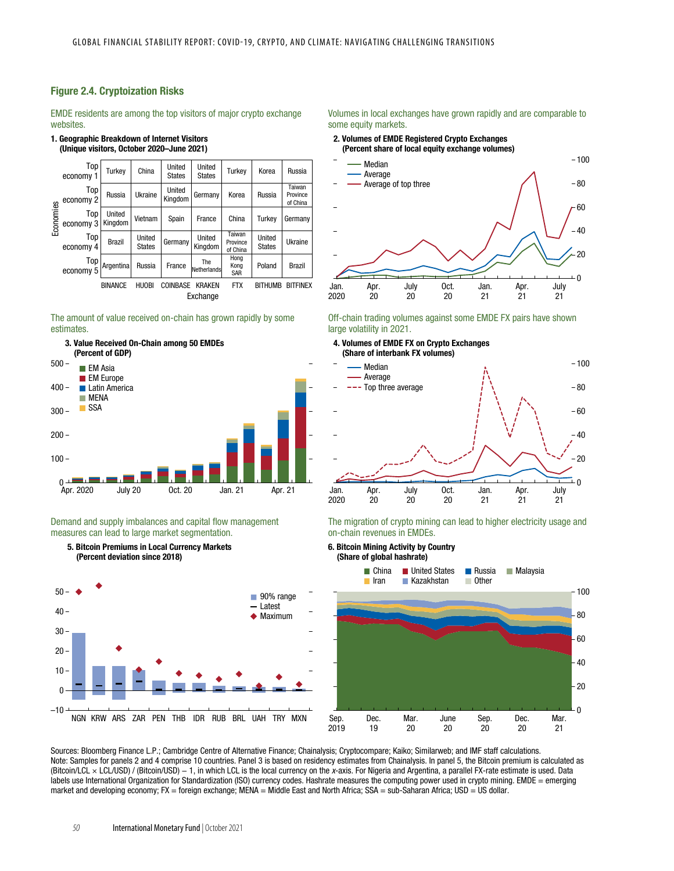## Figure 2.4. Cryptoization Risks

EMDE residents are among the top visitors of major crypto exchange websites.

#### 1. Geographic Breakdown of Internet Visitors (Unique visitors, October 2020–June 2021)

| Economies | Top<br>economy 1 | Turkev            | China                   | United<br><b>States</b> | United<br><b>States</b>   | Turkev                         | Korea                   | Russia                         |
|-----------|------------------|-------------------|-------------------------|-------------------------|---------------------------|--------------------------------|-------------------------|--------------------------------|
|           | Top<br>economy 2 | Russia            | Ukraine                 | United<br>Kingdom       | Germany                   | Korea                          | Russia                  | Taiwan<br>Province<br>of China |
|           | Top<br>economy 3 | United<br>Kingdom | Vietnam                 | Spain                   | France                    | China                          | Turkev                  | Germany                        |
|           | Top<br>economy 4 | <b>Brazil</b>     | United<br><b>States</b> | Germany                 | United<br>Kingdom         | Taiwan<br>Province<br>of China | United<br><b>States</b> | Ukraine                        |
|           | Top<br>economy 5 | Argentina         | Russia                  | France                  | <b>The</b><br>Netherlands | Hong<br>Kong<br>SAR            | Poland                  | <b>Brazil</b>                  |
|           |                  | <b>BINANCE</b>    | <b>HUOBI</b>            | <b>COINBASE</b>         | <b>KRAKEN</b><br>Exchange | <b>FTX</b>                     | <b>BITHUMB</b>          | <b>BITFINEX</b>                |

### The amount of value received on-chain has grown rapidly by some estimates.



Demand and supply imbalances and capital flow management measures can lead to large market segmentation.





### Volumes in local exchanges have grown rapidly and are comparable to some equity markets.

# 2. Volumes of EMDE Registered Crypto Exchanges



#### Off-chain trading volumes against some EMDE FX pairs have shown large volatility in 2021.



The migration of crypto mining can lead to higher electricity usage and on-chain revenues in EMDEs.

6. Bitcoin Mining Activity by Country (Share of global hashrate)



Sources: Bloomberg Finance L.P.; Cambridge Centre of Alternative Finance; Chainalysis; Cryptocompare; Kaiko; Similarweb; and IMF staff calculations. Note: Samples for panels 2 and 4 comprise 10 countries. Panel 3 is based on residency estimates from Chainalysis. In panel 5, the Bitcoin premium is calculated as (Bitcoin/LCL × LCL/USD) / (Bitcoin/USD) − 1, in which LCL is the local currency on the x-axis. For Nigeria and Argentina, a parallel FX-rate estimate is used. Data labels use International Organization for Standardization (ISO) currency codes. Hashrate measures the computing power used in crypto mining. EMDE = emerging market and developing economy; FX = foreign exchange; MENA = Middle East and North Africa; SSA = sub-Saharan Africa; USD = US dollar.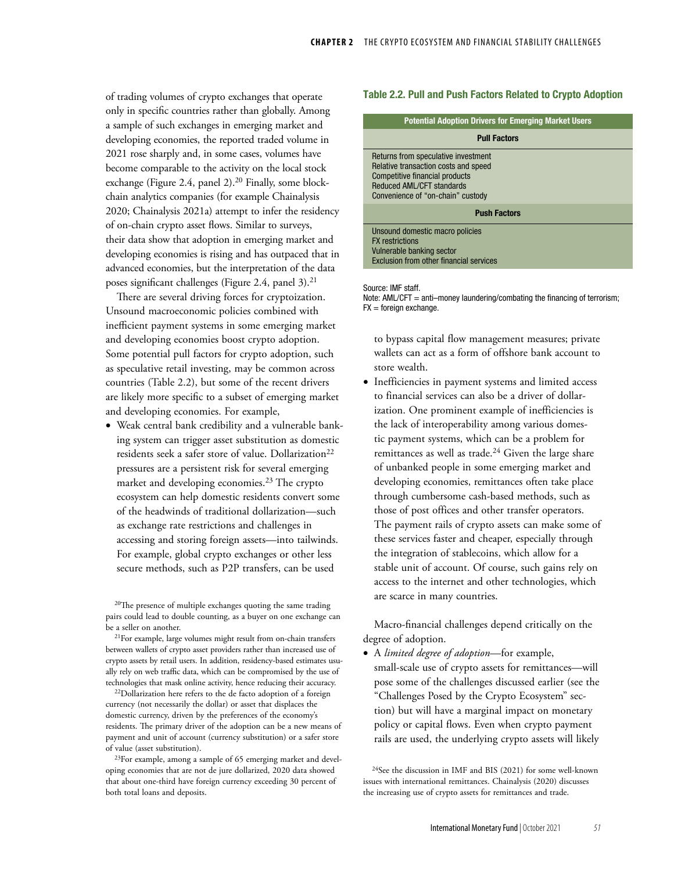of trading volumes of crypto exchanges that operate only in specific countries rather than globally. Among a sample of such exchanges in emerging market and developing economies, the reported traded volume in 2021 rose sharply and, in some cases, volumes have become comparable to the activity on the local stock exchange (Figure 2.4, panel 2).<sup>20</sup> Finally, some blockchain analytics companies (for example Chainalysis 2020; Chainalysis 2021a) attempt to infer the residency of on-chain crypto asset flows. Similar to surveys, their data show that adoption in emerging market and developing economies is rising and has outpaced that in advanced economies, but the interpretation of the data poses significant challenges (Figure 2.4, panel  $3$ ).<sup>21</sup>

There are several driving forces for cryptoization. Unsound macroeconomic policies combined with inefficient payment systems in some emerging market and developing economies boost crypto adoption. Some potential pull factors for crypto adoption, such as speculative retail investing, may be common across countries (Table 2.2), but some of the recent drivers are likely more specific to a subset of emerging market and developing economies. For example,

• Weak central bank credibility and a vulnerable banking system can trigger asset substitution as domestic residents seek a safer store of value. Dollarization<sup>22</sup> pressures are a persistent risk for several emerging market and developing economies.<sup>23</sup> The crypto ecosystem can help domestic residents convert some of the headwinds of traditional dollarization—such as exchange rate restrictions and challenges in accessing and storing foreign assets—into tailwinds. For example, global crypto exchanges or other less secure methods, such as P2P transfers, can be used

<sup>20</sup>The presence of multiple exchanges quoting the same trading pairs could lead to double counting, as a buyer on one exchange can be a seller on another.

<sup>21</sup>For example, large volumes might result from on-chain transfers between wallets of crypto asset providers rather than increased use of crypto assets by retail users. In addition, residency-based estimates usually rely on web traffic data, which can be compromised by the use of technologies that mask online activity, hence reducing their accuracy.

<sup>22</sup>Dollarization here refers to the de facto adoption of a foreign currency (not necessarily the dollar) or asset that displaces the domestic currency, driven by the preferences of the economy's residents. The primary driver of the adoption can be a new means of payment and unit of account (currency substitution) or a safer store of value (asset substitution).

<sup>23</sup>For example, among a sample of 65 emerging market and developing economies that are not de jure dollarized, 2020 data showed that about one-third have foreign currency exceeding 30 percent of both total loans and deposits.

### Table 2.2. Pull and Push Factors Related to Crypto Adoption

### Potential Adoption Drivers for Emerging Market Users

| <b>Pull Factors</b>                                                                                                                                                             |  |  |  |  |  |  |
|---------------------------------------------------------------------------------------------------------------------------------------------------------------------------------|--|--|--|--|--|--|
| Returns from speculative investment<br>Relative transaction costs and speed<br>Competitive financial products<br>Reduced AML/CFT standards<br>Convenience of "on-chain" custody |  |  |  |  |  |  |
| <b>Push Factors</b>                                                                                                                                                             |  |  |  |  |  |  |
| Unsound domestic macro policies<br><b>FX</b> restrictions<br>Vulnerable banking sector<br>Exclusion from other financial services                                               |  |  |  |  |  |  |
|                                                                                                                                                                                 |  |  |  |  |  |  |

Source: IMF staff.

Note: AML/CFT = anti-money laundering/combating the financing of terrorism;  $FX =$  foreign exchange.

to bypass capital flow management measures; private wallets can act as a form of offshore bank account to store wealth.

• Inefficiencies in payment systems and limited access to financial services can also be a driver of dollarization. One prominent example of inefficiencies is the lack of interoperability among various domestic payment systems, which can be a problem for remittances as well as trade.<sup>24</sup> Given the large share of unbanked people in some emerging market and developing economies, remittances often take place through cumbersome cash-based methods, such as those of post offices and other transfer operators. The payment rails of crypto assets can make some of these services faster and cheaper, especially through the integration of stablecoins, which allow for a stable unit of account. Of course, such gains rely on access to the internet and other technologies, which are scarce in many countries.

Macro-financial challenges depend critically on the degree of adoption.

• A *limited degree of adoption*—for example, small-scale use of crypto assets for remittances—will pose some of the challenges discussed earlier (see the "Challenges Posed by the Crypto Ecosystem" section) but will have a marginal impact on monetary policy or capital flows. Even when crypto payment rails are used, the underlying crypto assets will likely

<sup>24</sup>See the discussion in IMF and BIS (2021) for some well-known issues with international remittances. Chainalysis (2020) discusses the increasing use of crypto assets for remittances and trade.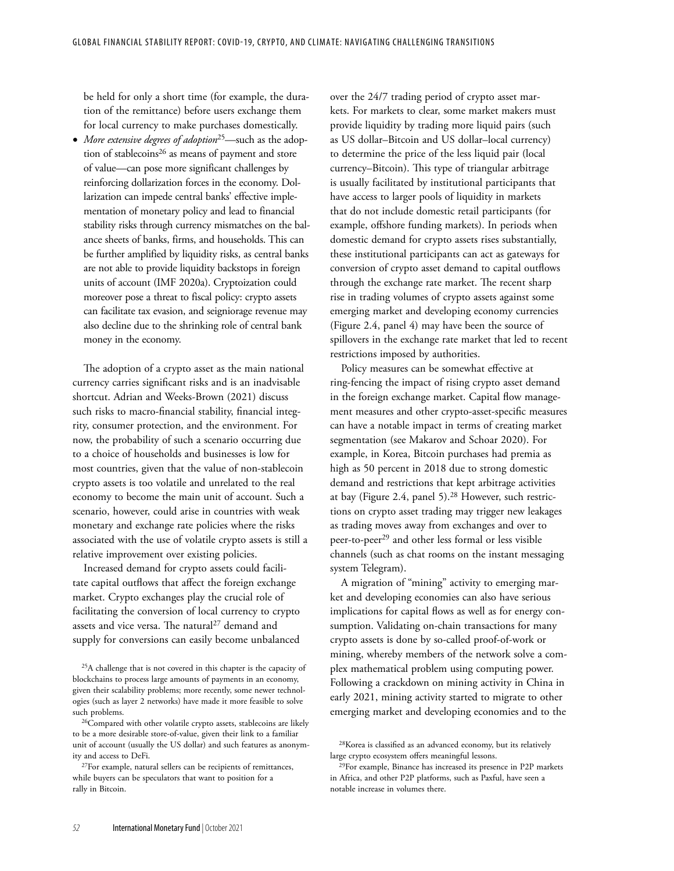be held for only a short time (for example, the duration of the remittance) before users exchange them for local currency to make purchases domestically.

• *More extensive degrees of adoption*<sup>25</sup>—such as the adoption of stablecoins $26$  as means of payment and store of value—can pose more significant challenges by reinforcing dollarization forces in the economy. Dollarization can impede central banks' effective implementation of monetary policy and lead to financial stability risks through currency mismatches on the balance sheets of banks, firms, and households. This can be further amplified by liquidity risks, as central banks are not able to provide liquidity backstops in foreign units of account (IMF 2020a). Cryptoization could moreover pose a threat to fiscal policy: crypto assets can facilitate tax evasion, and seigniorage revenue may also decline due to the shrinking role of central bank money in the economy.

The adoption of a crypto asset as the main national currency carries significant risks and is an inadvisable shortcut. Adrian and Weeks-Brown (2021) discuss such risks to macro-financial stability, financial integrity, consumer protection, and the environment. For now, the probability of such a scenario occurring due to a choice of households and businesses is low for most countries, given that the value of non-stablecoin crypto assets is too volatile and unrelated to the real economy to become the main unit of account. Such a scenario, however, could arise in countries with weak monetary and exchange rate policies where the risks associated with the use of volatile crypto assets is still a relative improvement over existing policies.

Increased demand for crypto assets could facilitate capital outflows that affect the foreign exchange market. Crypto exchanges play the crucial role of facilitating the conversion of local currency to crypto assets and vice versa. The natural<sup>27</sup> demand and supply for conversions can easily become unbalanced over the 24/7 trading period of crypto asset markets. For markets to clear, some market makers must provide liquidity by trading more liquid pairs (such as US dollar–Bitcoin and US dollar–local currency) to determine the price of the less liquid pair (local currency–Bitcoin). This type of triangular arbitrage is usually facilitated by institutional participants that have access to larger pools of liquidity in markets that do not include domestic retail participants (for example, offshore funding markets). In periods when domestic demand for crypto assets rises substantially, these institutional participants can act as gateways for conversion of crypto asset demand to capital outflows through the exchange rate market. The recent sharp rise in trading volumes of crypto assets against some emerging market and developing economy currencies (Figure 2.4, panel 4) may have been the source of spillovers in the exchange rate market that led to recent restrictions imposed by authorities.

Policy measures can be somewhat effective at ring-fencing the impact of rising crypto asset demand in the foreign exchange market. Capital flow management measures and other crypto-asset-specific measures can have a notable impact in terms of creating market segmentation (see Makarov and Schoar 2020). For example, in Korea, Bitcoin purchases had premia as high as 50 percent in 2018 due to strong domestic demand and restrictions that kept arbitrage activities at bay (Figure 2.4, panel 5).<sup>28</sup> However, such restrictions on crypto asset trading may trigger new leakages as trading moves away from exchanges and over to peer-to-peer<sup>29</sup> and other less formal or less visible channels (such as chat rooms on the instant messaging system Telegram).

A migration of "mining" activity to emerging market and developing economies can also have serious implications for capital flows as well as for energy consumption. Validating on-chain transactions for many crypto assets is done by so-called proof-of-work or mining, whereby members of the network solve a complex mathematical problem using computing power. Following a crackdown on mining activity in China in early 2021, mining activity started to migrate to other emerging market and developing economies and to the

<sup>&</sup>lt;sup>25</sup>A challenge that is not covered in this chapter is the capacity of blockchains to process large amounts of payments in an economy, given their scalability problems; more recently, some newer technologies (such as layer 2 networks) have made it more feasible to solve such problems.

<sup>&</sup>lt;sup>26</sup>Compared with other volatile crypto assets, stablecoins are likely to be a more desirable store-of-value, given their link to a familiar unit of account (usually the US dollar) and such features as anonymity and access to DeFi.

<sup>&</sup>lt;sup>27</sup>For example, natural sellers can be recipients of remittances, while buyers can be speculators that want to position for a rally in Bitcoin.

<sup>&</sup>lt;sup>28</sup>Korea is classified as an advanced economy, but its relatively large crypto ecosystem offers meaningful lessons.

<sup>&</sup>lt;sup>29</sup>For example, Binance has increased its presence in P2P markets in Africa, and other P2P platforms, such as Paxful, have seen a notable increase in volumes there.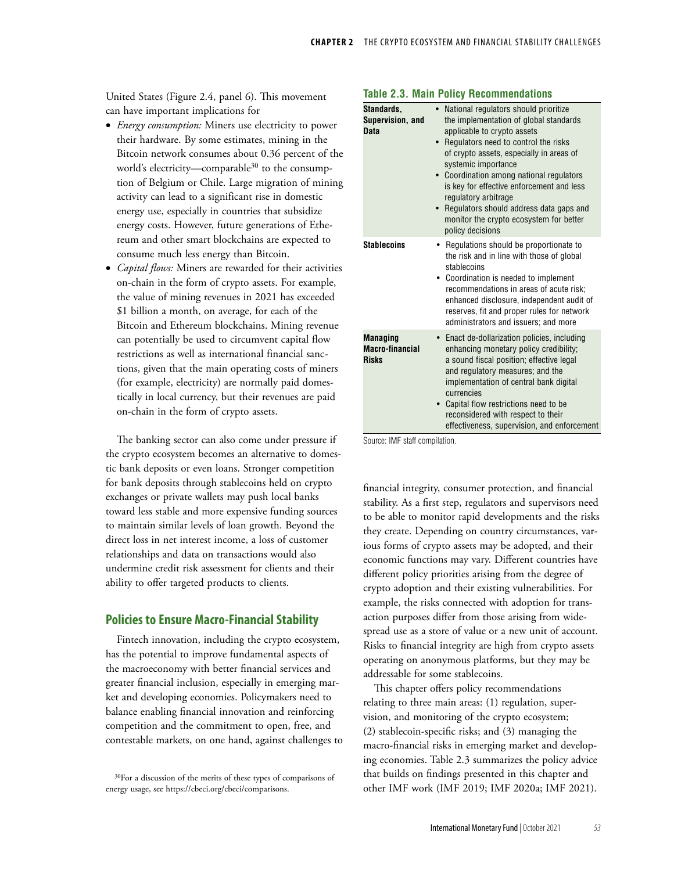United States (Figure 2.4, panel 6). This movement can have important implications for

- *Energy consumption:* Miners use electricity to power their hardware. By some estimates, mining in the Bitcoin network consumes about 0.36 percent of the world's electricity—comparable $30$  to the consumption of Belgium or Chile. Large migration of mining activity can lead to a significant rise in domestic energy use, especially in countries that subsidize energy costs. However, future generations of Ethereum and other smart blockchains are expected to consume much less energy than Bitcoin.
- *Capital flows:* Miners are rewarded for their activities on-chain in the form of crypto assets. For example, the value of mining revenues in 2021 has exceeded \$1 billion a month, on average, for each of the Bitcoin and Ethereum blockchains. Mining revenue can potentially be used to circumvent capital flow restrictions as well as international financial sanctions, given that the main operating costs of miners (for example, electricity) are normally paid domestically in local currency, but their revenues are paid on-chain in the form of crypto assets.

The banking sector can also come under pressure if the crypto ecosystem becomes an alternative to domestic bank deposits or even loans. Stronger competition for bank deposits through stablecoins held on crypto exchanges or private wallets may push local banks toward less stable and more expensive funding sources to maintain similar levels of loan growth. Beyond the direct loss in net interest income, a loss of customer relationships and data on transactions would also undermine credit risk assessment for clients and their ability to offer targeted products to clients.

# **Policies to Ensure Macro-Financial Stability**

Fintech innovation, including the crypto ecosystem, has the potential to improve fundamental aspects of the macroeconomy with better financial services and greater financial inclusion, especially in emerging market and developing economies. Policymakers need to balance enabling financial innovation and reinforcing competition and the commitment to open, free, and contestable markets, on one hand, against challenges to

# **Table 2.3. Main Policy Recommendations**

| Standards,<br>Supervision, and<br>Data                    | • National regulators should prioritize<br>the implementation of global standards<br>applicable to crypto assets<br>Regulators need to control the risks<br>$\bullet$<br>of crypto assets, especially in areas of<br>systemic importance<br>Coordination among national regulators<br>is key for effective enforcement and less<br>regulatory arbitrage<br>Regulators should address data gaps and<br>monitor the crypto ecosystem for better<br>policy decisions |  |  |  |  |  |
|-----------------------------------------------------------|-------------------------------------------------------------------------------------------------------------------------------------------------------------------------------------------------------------------------------------------------------------------------------------------------------------------------------------------------------------------------------------------------------------------------------------------------------------------|--|--|--|--|--|
| <b>Stablecoins</b>                                        | Regulations should be proportionate to<br>٠<br>the risk and in line with those of global<br>stablecoins<br>Coordination is needed to implement<br>recommendations in areas of acute risk:<br>enhanced disclosure, independent audit of<br>reserves, fit and proper rules for network<br>administrators and issuers; and more                                                                                                                                      |  |  |  |  |  |
| <b>Managing</b><br><b>Macro-financial</b><br><b>Risks</b> | Enact de-dollarization policies, including<br>enhancing monetary policy credibility;<br>a sound fiscal position; effective legal<br>and regulatory measures; and the<br>implementation of central bank digital<br>currencies<br>Capital flow restrictions need to be<br>$\bullet$<br>reconsidered with respect to their<br>effectiveness, supervision, and enforcement                                                                                            |  |  |  |  |  |

Source: IMF staff compilation.

financial integrity, consumer protection, and financial stability. As a first step, regulators and supervisors need to be able to monitor rapid developments and the risks they create. Depending on country circumstances, various forms of crypto assets may be adopted, and their economic functions may vary. Different countries have different policy priorities arising from the degree of crypto adoption and their existing vulnerabilities. For example, the risks connected with adoption for transaction purposes differ from those arising from widespread use as a store of value or a new unit of account. Risks to financial integrity are high from crypto assets operating on anonymous platforms, but they may be addressable for some stablecoins.

This chapter offers policy recommendations relating to three main areas: (1) regulation, supervision, and monitoring of the crypto ecosystem; (2) stablecoin-specific risks; and (3) managing the macro-financial risks in emerging market and developing economies. Table 2.3 summarizes the policy advice that builds on findings presented in this chapter and other IMF work (IMF 2019; IMF 2020a; IMF 2021).

<sup>&</sup>lt;sup>30</sup>For a discussion of the merits of these types of comparisons of energy usage, see [https://cbeci.org/cbeci/comparisons.](https://cbeci.org/cbeci/comparisons)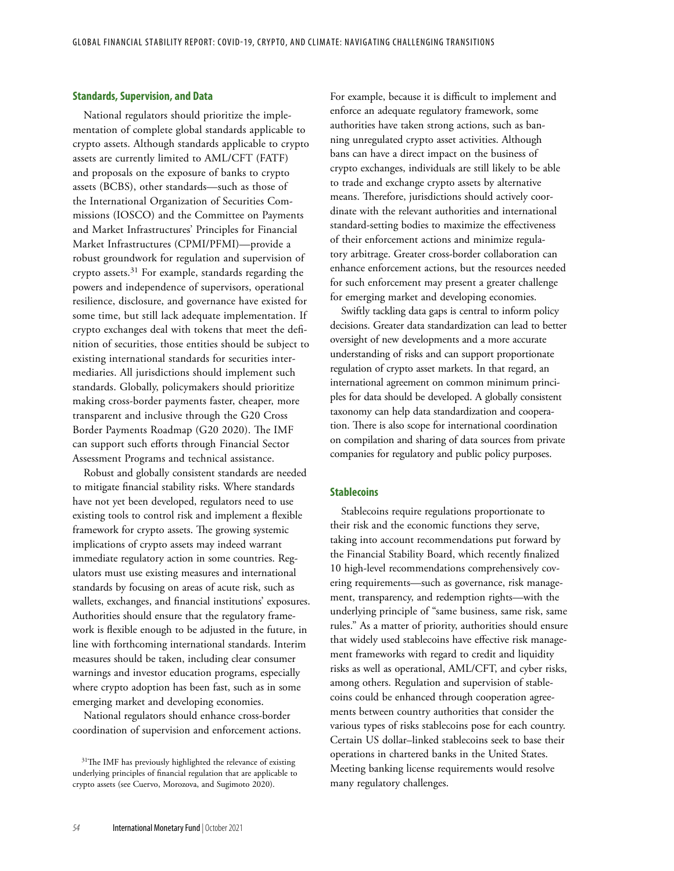## **Standards, Supervision, and Data**

National regulators should prioritize the implementation of complete global standards applicable to crypto assets. Although standards applicable to crypto assets are currently limited to AML/CFT (FATF) and proposals on the exposure of banks to crypto assets (BCBS), other standards—such as those of the International Organization of Securities Commissions (IOSCO) and the Committee on Payments and Market Infrastructures' Principles for Financial Market Infrastructures (CPMI/PFMI)—provide a robust groundwork for regulation and supervision of crypto assets. $31$  For example, standards regarding the powers and independence of supervisors, operational resilience, disclosure, and governance have existed for some time, but still lack adequate implementation. If crypto exchanges deal with tokens that meet the definition of securities, those entities should be subject to existing international standards for securities intermediaries. All jurisdictions should implement such standards. Globally, policymakers should prioritize making cross-border payments faster, cheaper, more transparent and inclusive through the G20 Cross Border Payments Roadmap (G20 2020). The IMF can support such efforts through Financial Sector Assessment Programs and technical assistance.

Robust and globally consistent standards are needed to mitigate financial stability risks. Where standards have not yet been developed, regulators need to use existing tools to control risk and implement a flexible framework for crypto assets. The growing systemic implications of crypto assets may indeed warrant immediate regulatory action in some countries. Regulators must use existing measures and international standards by focusing on areas of acute risk, such as wallets, exchanges, and financial institutions' exposures. Authorities should ensure that the regulatory framework is flexible enough to be adjusted in the future, in line with forthcoming international standards. Interim measures should be taken, including clear consumer warnings and investor education programs, especially where crypto adoption has been fast, such as in some emerging market and developing economies.

National regulators should enhance cross-border coordination of supervision and enforcement actions. For example, because it is difficult to implement and enforce an adequate regulatory framework, some authorities have taken strong actions, such as banning unregulated crypto asset activities. Although bans can have a direct impact on the business of crypto exchanges, individuals are still likely to be able to trade and exchange crypto assets by alternative means. Therefore, jurisdictions should actively coordinate with the relevant authorities and international standard-setting bodies to maximize the effectiveness of their enforcement actions and minimize regulatory arbitrage. Greater cross-border collaboration can enhance enforcement actions, but the resources needed for such enforcement may present a greater challenge for emerging market and developing economies.

Swiftly tackling data gaps is central to inform policy decisions. Greater data standardization can lead to better oversight of new developments and a more accurate understanding of risks and can support proportionate regulation of crypto asset markets. In that regard, an international agreement on common minimum principles for data should be developed. A globally consistent taxonomy can help data standardization and cooperation. There is also scope for international coordination on compilation and sharing of data sources from private companies for regulatory and public policy purposes.

## **Stablecoins**

Stablecoins require regulations proportionate to their risk and the economic functions they serve, taking into account recommendations put forward by the Financial Stability Board, which recently finalized 10 high-level recommendations comprehensively covering requirements—such as governance, risk management, transparency, and redemption rights—with the underlying principle of "same business, same risk, same rules." As a matter of priority, authorities should ensure that widely used stablecoins have effective risk management frameworks with regard to credit and liquidity risks as well as operational, AML/CFT, and cyber risks, among others. Regulation and supervision of stablecoins could be enhanced through cooperation agreements between country authorities that consider the various types of risks stablecoins pose for each country. Certain US dollar–linked stablecoins seek to base their operations in chartered banks in the United States. Meeting banking license requirements would resolve many regulatory challenges.

<sup>&</sup>lt;sup>31</sup>The IMF has previously highlighted the relevance of existing underlying principles of financial regulation that are applicable to crypto assets (see Cuervo, Morozova, and Sugimoto 2020).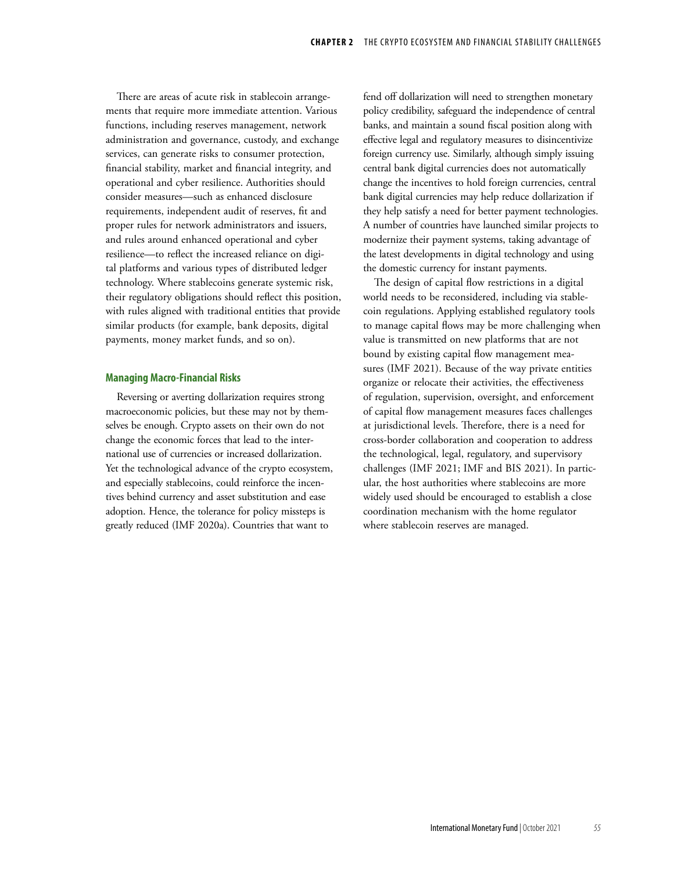There are areas of acute risk in stablecoin arrangements that require more immediate attention. Various functions, including reserves management, network administration and governance, custody, and exchange services, can generate risks to consumer protection, financial stability, market and financial integrity, and operational and cyber resilience. Authorities should consider measures—such as enhanced disclosure requirements, independent audit of reserves, fit and proper rules for network administrators and issuers, and rules around enhanced operational and cyber resilience—to reflect the increased reliance on digital platforms and various types of distributed ledger technology. Where stablecoins generate systemic risk, their regulatory obligations should reflect this position, with rules aligned with traditional entities that provide similar products (for example, bank deposits, digital payments, money market funds, and so on).

### **Managing Macro-Financial Risks**

Reversing or averting dollarization requires strong macroeconomic policies, but these may not by themselves be enough. Crypto assets on their own do not change the economic forces that lead to the international use of currencies or increased dollarization. Yet the technological advance of the crypto ecosystem, and especially stablecoins, could reinforce the incentives behind currency and asset substitution and ease adoption. Hence, the tolerance for policy missteps is greatly reduced (IMF 2020a). Countries that want to

fend off dollarization will need to strengthen monetary policy credibility, safeguard the independence of central banks, and maintain a sound fiscal position along with effective legal and regulatory measures to disincentivize foreign currency use. Similarly, although simply issuing central bank digital currencies does not automatically change the incentives to hold foreign currencies, central bank digital currencies may help reduce dollarization if they help satisfy a need for better payment technologies. A number of countries have launched similar projects to modernize their payment systems, taking advantage of the latest developments in digital technology and using the domestic currency for instant payments.

The design of capital flow restrictions in a digital world needs to be reconsidered, including via stablecoin regulations. Applying established regulatory tools to manage capital flows may be more challenging when value is transmitted on new platforms that are not bound by existing capital flow management measures (IMF 2021). Because of the way private entities organize or relocate their activities, the effectiveness of regulation, supervision, oversight, and enforcement of capital flow management measures faces challenges at jurisdictional levels. Therefore, there is a need for cross-border collaboration and cooperation to address the technological, legal, regulatory, and supervisory challenges (IMF 2021; IMF and BIS 2021). In particular, the host authorities where stablecoins are more widely used should be encouraged to establish a close coordination mechanism with the home regulator where stablecoin reserves are managed.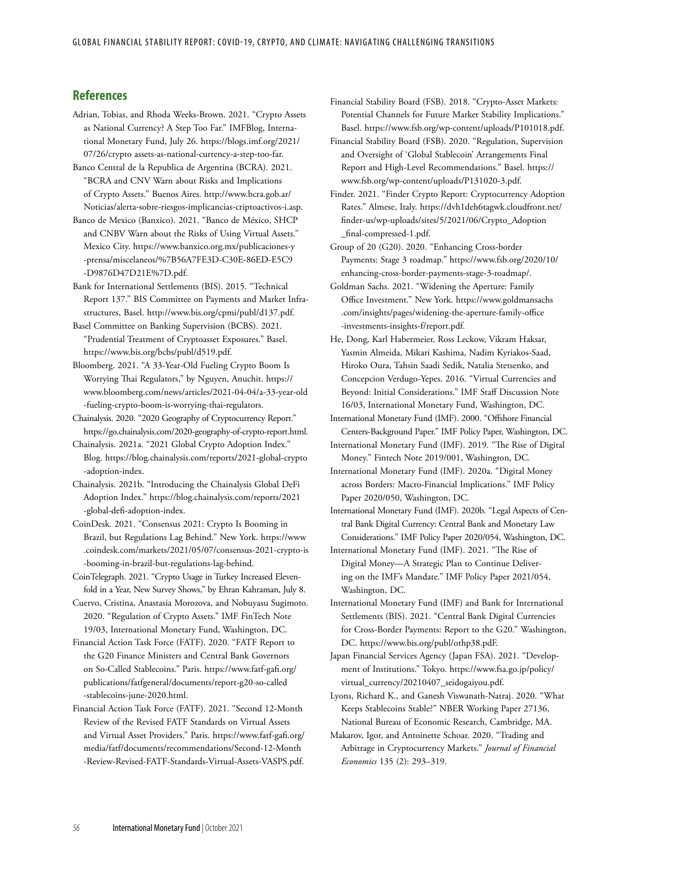## **References**

- Adrian, Tobias, and Rhoda Weeks-Brown. 2021. "Crypto Assets as National Currency? A Step Too Far." IMFBlog, International Monetary Fund, July 26. [https://blogs.imf.org/2021/](https://blogs.imf.org/2021/07/26/cryptoassets-as-national-currency-a-step-too-far/) [07/26/crypto assets-as-national-currency-a-step-too-far.](https://blogs.imf.org/2021/07/26/cryptoassets-as-national-currency-a-step-too-far/)
- Banco Central de la Republica de Argentina (BCRA). 2021. "BCRA and CNV Warn about Risks and Implications of Crypto Assets." Buenos Aires. [http://www.bcra.gob.ar/](http://www.bcra.gob.ar/Noticias/alerta-sobre-riesgos-implicancias-criptoactivos-i.asp) [Noticias/alerta-sobre-riesgos-implicancias-criptoactivos-i.asp](http://www.bcra.gob.ar/Noticias/alerta-sobre-riesgos-implicancias-criptoactivos-i.asp).
- Banco de Mexico (Banxico). 2021. "Banco de México, SHCP and CNBV Warn about the Risks of Using Virtual Assets." Mexico City. [https://www.banxico.org.mx/publicaciones-y](https://​www​.banxico​.org​.mx/​publicaciones​-y​-prensa/​miscelaneos/​%7B56A7FE3D​-C30E​-86ED​-E5C9​-D9876D47D21E​%7D​.pdf) [-prensa/miscelaneos/%7B56A7FE3D-C30E-86ED-E5C9](https://​www​.banxico​.org​.mx/​publicaciones​-y​-prensa/​miscelaneos/​%7B56A7FE3D​-C30E​-86ED​-E5C9​-D9876D47D21E​%7D​.pdf) [-D9876D47D21E%7D.pdf.](https://​www​.banxico​.org​.mx/​publicaciones​-y​-prensa/​miscelaneos/​%7B56A7FE3D​-C30E​-86ED​-E5C9​-D9876D47D21E​%7D​.pdf)
- Bank for International Settlements (BIS). 2015. "Technical Report 137." BIS Committee on Payments and Market Infrastructures, Basel. [http://www.bis.org/cpmi/publ/d137.pdf.](https://nam10.safelinks.protection.outlook.com/?url=http%3A%2F%2Fwww.bis.org%2Fcpmi%2Fpubl%2Fd137.pdf&data=04%7C01%7CEPapageorgiou%40imf.org%7Ce75174d390a944a786d708d961d683b2%7C8085fa43302e45bdb171a6648c3b6be7%7C0%7C0%7C637648396233644101%7CUnknown%7CTWFpbGZsb3d8eyJWIjoiMC4wLjAwMDAiLCJQIjoiV2luMzIiLCJBTiI6Ik1haWwiLCJXVCI6Mn0%3D%7C1000&sdata=9WdcL0GkxoXdNVRkM%2FnOaifPAYA83D8GhE3MBnA8Muw%3D&reserved=0)
- Basel Committee on Banking Supervision (BCBS). 2021. "Prudential Treatment of Cryptoasset Exposures." Basel. [https://www.bis.org/bcbs/publ/d519.pdf.](https://www.bis.org/bcbs/publ/d519.pdf)
- Bloomberg. 2021. "A 33-Year-Old Fueling Crypto Boom Is Worrying Thai Regulators," by Nguyen, Anuchit. [https://](https://www.bloomberg.com/news/articles/2021-04-04/a-33-year-old-fueling-crypto-boom-is-worrying-thai-regulators) [www.bloomberg.com/news/articles/2021-04-04/a-33-year-old](https://www.bloomberg.com/news/articles/2021-04-04/a-33-year-old-fueling-crypto-boom-is-worrying-thai-regulators) [-fueling-crypto-boom-is-worrying-thai-regulators](https://www.bloomberg.com/news/articles/2021-04-04/a-33-year-old-fueling-crypto-boom-is-worrying-thai-regulators).
- Chainalysis. 2020. "2020 Geography of Cryptocurrency Report." <https://go.chainalysis.com/2020-geography-of-crypto-report.html>.
- Chainalysis. 2021a. "2021 Global Crypto Adoption Index." Blog. [https://blog.chainalysis.com/reports/2021-global-crypto](https://blog.chainalysis.com/reports/2021-global-crypto-adoption-index) [-adoption-index](https://blog.chainalysis.com/reports/2021-global-crypto-adoption-index).
- Chainalysis. 2021b. "Introducing the Chainalysis Global DeFi Adoption Index." [https://blog.chainalysis.com/reports/2021](https://​blog​.chainalysis​.com/​reports/​2021​-global​-defi​-adoption​-index) [-global-defi-adoption-index](https://​blog​.chainalysis​.com/​reports/​2021​-global​-defi​-adoption​-index).
- CoinDesk. 2021. "Consensus 2021: Crypto Is Booming in Brazil, but Regulations Lag Behind." New York. [https://www](https://​www​.coindesk​.com/​markets/​2021/​05/​07/​consensus​-2021​-crypto​-is​-booming​-in​-brazil​-but​-regulations​-lag​-behind) [.coindesk.com/markets/2021/05/07/consensus-2021-crypto-is](https://​www​.coindesk​.com/​markets/​2021/​05/​07/​consensus​-2021​-crypto​-is​-booming​-in​-brazil​-but​-regulations​-lag​-behind) [-booming-in-brazil-but-regulations-lag-behind.](https://​www​.coindesk​.com/​markets/​2021/​05/​07/​consensus​-2021​-crypto​-is​-booming​-in​-brazil​-but​-regulations​-lag​-behind)
- CoinTelegraph. 2021. "Crypto Usage in Turkey Increased Elevenfold in a Year, New Survey Shows," by Ehran Kahraman, July 8.
- Cuervo, Cristina, Anastasia Morozova, and Nobuyasu Sugimoto. 2020. "Regulation of Crypto Assets." IMF FinTech Note 19/03, International Monetary Fund, Washington, DC.
- Financial Action Task Force (FATF). 2020. "FATF Report to the G20 Finance Ministers and Central Bank Governors on So-Called Stablecoins." Paris. [https://www.fatf-gafi.org/](https://www.fatf-gafi.org/publications/fatfgeneral/documents/report-g20-so-called-stablecoins-june-2020.html) [publications/fatfgeneral/documents/report-g20-so-called](https://www.fatf-gafi.org/publications/fatfgeneral/documents/report-g20-so-called-stablecoins-june-2020.html) [-stablecoins-june-2020.html.](https://www.fatf-gafi.org/publications/fatfgeneral/documents/report-g20-so-called-stablecoins-june-2020.html)
- Financial Action Task Force (FATF). 2021. "Second 12-Month Review of the Revised FATF Standards on Virtual Assets and Virtual Asset Providers." Paris. [https://www.fatf-gafi.org/](https://www.fatf-gafi.org/media/fatf/documents/recommendations/Second-12-Month-Review-Revised-FATF-Standards-Virtual-Assets-VASPS.pdf) [media/fatf/documents/recommendations/Second-12-Month](https://www.fatf-gafi.org/media/fatf/documents/recommendations/Second-12-Month-Review-Revised-FATF-Standards-Virtual-Assets-VASPS.pdf) [-Review-Revised-FATF-Standards-Virtual-Assets-VASPS.pdf](https://www.fatf-gafi.org/media/fatf/documents/recommendations/Second-12-Month-Review-Revised-FATF-Standards-Virtual-Assets-VASPS.pdf).
- Financial Stability Board (FSB). 2018. "Crypto-Asset Markets: Potential Channels for Future Market Stability Implications." Basel. [https://www.fsb.org/wp-content/uploads/P101018.pdf.](https://www.fsb.org/wp-content/uploads/P101018.pdf)
- Financial Stability Board (FSB). 2020. "Regulation, Supervision and Oversight of 'Global Stablecoin' Arrangements Final Report and High-Level Recommendations." Basel. [https://](https://www.fsb.org/wp-content/uploads/P131020-3.pdf) [www.fsb.org/wp-content/uploads/P131020-3.pdf](https://www.fsb.org/wp-content/uploads/P131020-3.pdf).
- Finder. 2021. "Finder Crypto Report: Cryptocurrency Adoption Rates." Almese, Italy. [https://dvh1deh6tagwk.cloudfront.net/](https://​dvh1deh6tagwk​.cloudfront​.net/​finder​-us/​wp​-uploads/sites/5/2021/06/Crypto_Adoption_final-compressed-1.pdf) [finder-us/wp-uploads/sites/5/2021/06/Crypto\\_Adoption](https://​dvh1deh6tagwk​.cloudfront​.net/​finder​-us/​wp​-uploads/sites/5/2021/06/Crypto_Adoption_final-compressed-1.pdf) [\\_final-compressed-1.pdf](https://​dvh1deh6tagwk​.cloudfront​.net/​finder​-us/​wp​-uploads/sites/5/2021/06/Crypto_Adoption_final-compressed-1.pdf).
- Group of 20 (G20). 2020. "Enhancing Cross-border Payments: Stage 3 roadmap." https://www.fsb.org/2020/10/ enhancing-cross-border-payments-stage-3-roadmap/.
- Goldman Sachs. 2021. "Widening the Aperture: Family Office Investment." New York. [https://www.goldmansachs](https://​www​.goldmansachs​.com/​insights/​pages/​widening​-the​-aperture​-family​-office​-investments​-insights​-f/​report​.pdf) [.com/insights/pages/widening-the-aperture-family-office](https://​www​.goldmansachs​.com/​insights/​pages/​widening​-the​-aperture​-family​-office​-investments​-insights​-f/​report​.pdf) [-investments-insights-f/report.pdf](https://​www​.goldmansachs​.com/​insights/​pages/​widening​-the​-aperture​-family​-office​-investments​-insights​-f/​report​.pdf).
- He, Dong, Karl Habermeier, Ross Leckow, Vikram Haksar, Yasmin Almeida, Mikari Kashima, Nadim Kyriakos-Saad, Hiroko Oura, Tahsin Saadi Sedik, Natalia Stetsenko, and Concepcion Verdugo-Yepes. 2016. "Virtual Currencies and Beyond: Initial Considerations." IMF Staff Discussion Note 16/03, International Monetary Fund, Washington, DC.
- International Monetary Fund (IMF). 2000. "Offshore Financial Centers-Background Paper." IMF Policy Paper, Washington, DC.
- International Monetary Fund (IMF). 2019. "The Rise of Digital Money." Fintech Note 2019/001, Washington, DC.
- International Monetary Fund (IMF). 2020a. "Digital Money across Borders: Macro-Financial Implications." IMF Policy Paper 2020/050, Washington, DC.
- International Monetary Fund (IMF). 2020b. "Legal Aspects of Central Bank Digital Currency: Central Bank and Monetary Law Considerations." IMF Policy Paper 2020/054, Washington, DC.
- International Monetary Fund (IMF). 2021. "The Rise of Digital Money—A Strategic Plan to Continue Delivering on the IMF's Mandate." IMF Policy Paper 2021/054, Washington, DC.
- International Monetary Fund (IMF) and Bank for International Settlements (BIS). 2021. "Central Bank Digital Currencies for Cross-Border Payments: Report to the G20." Washington, DC. <https://www.bis.org/publ/othp38.pdF>.
- Japan Financial Services Agency (Japan FSA). 2021. "Development of Institutions." Tokyo. [https://www.fsa.go.jp/policy/](https://www.fsa.go.jp/policy/virtual_currency/20210407_seidogaiyou.pdf) [virtual\\_currency/20210407\\_seidogaiyou.pdf](https://www.fsa.go.jp/policy/virtual_currency/20210407_seidogaiyou.pdf).
- Lyons, Richard K., and Ganesh Viswanath-Natraj. 2020. "[What](https://ideas.repec.org/p/nbr/nberwo/27136.html)  [Keeps Stablecoins Stable?](https://ideas.repec.org/p/nbr/nberwo/27136.html)" [NBER Working Paper](https://ideas.repec.org/s/nbr/nberwo.html) 27136, National Bureau of Economic Research, Cambridge, MA.
- Makarov, Igor, and Antoinette Schoar. 2020. "Trading and Arbitrage in Cryptocurrency Markets." *Journal of Financial Economics* 135 (2): 293–319.